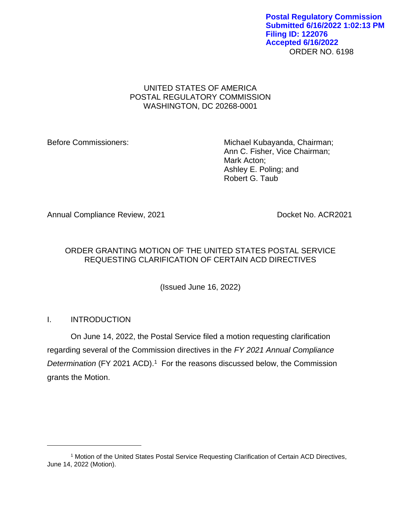ORDER NO. 6198 **Postal Regulatory Commission Submitted 6/16/2022 1:02:13 PM Filing ID: 122076 Accepted 6/16/2022**

## UNITED STATES OF AMERICA POSTAL REGULATORY COMMISSION WASHINGTON, DC 20268-0001

Before Commissioners: Michael Kubayanda, Chairman; Ann C. Fisher, Vice Chairman; Mark Acton; Ashley E. Poling; and Robert G. Taub

Annual Compliance Review, 2021 **Docket No. ACR2021** 

# ORDER GRANTING MOTION OF THE UNITED STATES POSTAL SERVICE REQUESTING CLARIFICATION OF CERTAIN ACD DIRECTIVES

(Issued June 16, 2022)

# I. INTRODUCTION

On June 14, 2022, the Postal Service filed a motion requesting clarification regarding several of the Commission directives in the *FY 2021 Annual Compliance*  Determination (FY 2021 ACD).<sup>1</sup> For the reasons discussed below, the Commission grants the Motion.

<sup>1</sup> Motion of the United States Postal Service Requesting Clarification of Certain ACD Directives, June 14, 2022 (Motion).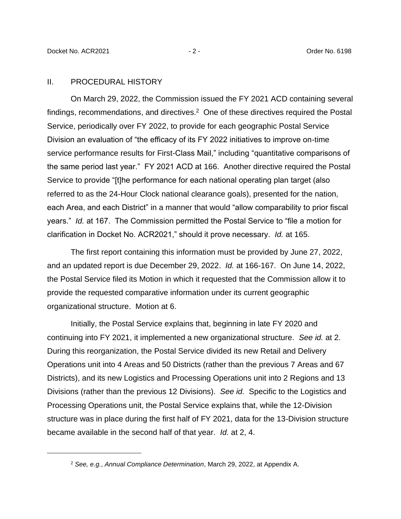#### II. PROCEDURAL HISTORY

On March 29, 2022, the Commission issued the FY 2021 ACD containing several findings, recommendations, and directives. $2$  One of these directives required the Postal Service, periodically over FY 2022, to provide for each geographic Postal Service Division an evaluation of "the efficacy of its FY 2022 initiatives to improve on-time service performance results for First-Class Mail," including "quantitative comparisons of the same period last year." FY 2021 ACD at 166. Another directive required the Postal Service to provide "[t]he performance for each national operating plan target (also referred to as the 24-Hour Clock national clearance goals), presented for the nation, each Area, and each District" in a manner that would "allow comparability to prior fiscal years." *Id.* at 167. The Commission permitted the Postal Service to "file a motion for clarification in Docket No. ACR2021," should it prove necessary. *Id.* at 165.

The first report containing this information must be provided by June 27, 2022, and an updated report is due December 29, 2022. *Id.* at 166-167. On June 14, 2022, the Postal Service filed its Motion in which it requested that the Commission allow it to provide the requested comparative information under its current geographic organizational structure. Motion at 6.

Initially, the Postal Service explains that, beginning in late FY 2020 and continuing into FY 2021, it implemented a new organizational structure. *See id.* at 2. During this reorganization, the Postal Service divided its new Retail and Delivery Operations unit into 4 Areas and 50 Districts (rather than the previous 7 Areas and 67 Districts), and its new Logistics and Processing Operations unit into 2 Regions and 13 Divisions (rather than the previous 12 Divisions). *See id.* Specific to the Logistics and Processing Operations unit, the Postal Service explains that, while the 12-Division structure was in place during the first half of FY 2021, data for the 13-Division structure became available in the second half of that year. *Id.* at 2, 4.

<sup>2</sup> *See, e.g.*, *Annual Compliance Determination*, March 29, 2022, at Appendix A.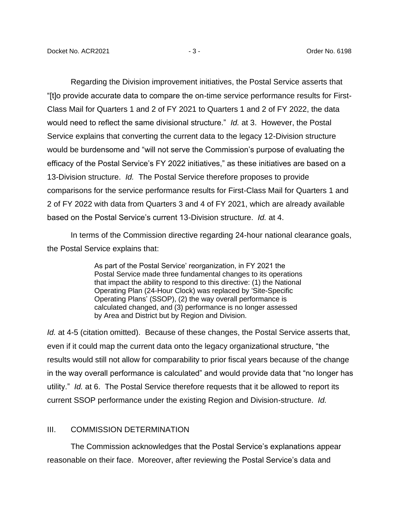Regarding the Division improvement initiatives, the Postal Service asserts that "[t]o provide accurate data to compare the on-time service performance results for First-Class Mail for Quarters 1 and 2 of FY 2021 to Quarters 1 and 2 of FY 2022, the data would need to reflect the same divisional structure." *Id.* at 3. However, the Postal Service explains that converting the current data to the legacy 12-Division structure would be burdensome and "will not serve the Commission's purpose of evaluating the efficacy of the Postal Service's FY 2022 initiatives," as these initiatives are based on a 13-Division structure. *Id.* The Postal Service therefore proposes to provide comparisons for the service performance results for First-Class Mail for Quarters 1 and 2 of FY 2022 with data from Quarters 3 and 4 of FY 2021, which are already available based on the Postal Service's current 13-Division structure. *Id.* at 4.

In terms of the Commission directive regarding 24-hour national clearance goals, the Postal Service explains that:

> As part of the Postal Service' reorganization, in FY 2021 the Postal Service made three fundamental changes to its operations that impact the ability to respond to this directive: (1) the National Operating Plan (24-Hour Clock) was replaced by 'Site-Specific Operating Plans' (SSOP), (2) the way overall performance is calculated changed, and (3) performance is no longer assessed by Area and District but by Region and Division.

*Id.* at 4-5 (citation omitted). Because of these changes, the Postal Service asserts that, even if it could map the current data onto the legacy organizational structure, "the results would still not allow for comparability to prior fiscal years because of the change in the way overall performance is calculated" and would provide data that "no longer has utility." *Id.* at 6. The Postal Service therefore requests that it be allowed to report its current SSOP performance under the existing Region and Division-structure. *Id.*

### III. COMMISSION DETERMINATION

The Commission acknowledges that the Postal Service's explanations appear reasonable on their face. Moreover, after reviewing the Postal Service's data and